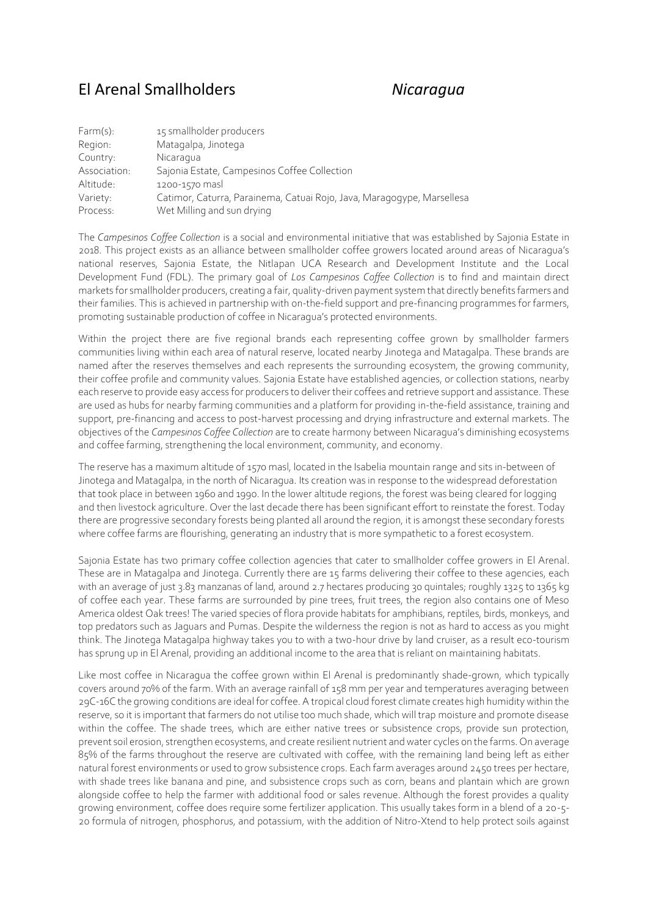## El Arenal Smallholders *Nicaragua*

| Farm(s):     | 15 smallholder producers                                               |
|--------------|------------------------------------------------------------------------|
| Region:      | Matagalpa, Jinotega                                                    |
| Country:     | Nicaragua                                                              |
| Association: | Sajonia Estate, Campesinos Coffee Collection                           |
| Altitude:    | 1200-1570 masl                                                         |
| Variety:     | Catimor, Caturra, Parainema, Catuai Rojo, Java, Maragogype, Marsellesa |
| Process:     | Wet Milling and sun drying                                             |

The *Campesinos Coffee Collection* is a social and environmental initiative that was established by Sajonia Estate in 2018. This project exists as an alliance between smallholder coffee growers located around areas of Nicaragua's national reserves, Sajonia Estate, the Nitlapan UCA Research and Development Institute and the Local Development Fund (FDL). The primary goal of *Los Campesinos Coffee Collection* is to find and maintain direct markets for smallholder producers, creating a fair, quality-driven payment system that directly benefits farmers and their families. This is achieved in partnership with on-the-field support and pre-financing programmes for farmers, promoting sustainable production of coffee in Nicaragua's protected environments.

Within the project there are five regional brands each representing coffee grown by smallholder farmers communities living within each area of natural reserve, located nearby Jinotega and Matagalpa. These brands are named after the reserves themselves and each represents the surrounding ecosystem, the growing community, their coffee profile and community values. Sajonia Estate have established agencies, or collection stations, nearby each reserve to provide easy access for producers to deliver their coffees and retrieve support and assistance. These are used as hubs for nearby farming communities and a platform for providing in-the-field assistance, training and support, pre-financing and access to post-harvest processing and drying infrastructure and external markets. The objectives of the *Campesinos Coffee Collection* are to create harmony between Nicaragua's diminishing ecosystems and coffee farming, strengthening the local environment, community, and economy.

The reserve has a maximum altitude of 1570 masl, located in the Isabelia mountain range and sits in-between of Jinotega and Matagalpa, in the north of Nicaragua. Its creation was in response to the widespread deforestation that took place in between 1960 and 1990. In the lower altitude regions, the forest was being cleared for logging and then livestock agriculture. Over the last decade there has been significant effort to reinstate the forest. Today there are progressive secondary forests being planted all around the region, it is amongst these secondary forests where coffee farms are flourishing, generating an industry that is more sympathetic to a forest ecosystem.

Sajonia Estate has two primary coffee collection agencies that cater to smallholder coffee growers in El Arenal. These are in Matagalpa and Jinotega. Currently there are 15 farms delivering their coffee to these agencies, each with an average of just 3.83 manzanas of land, around 2.7 hectares producing 30 quintales; roughly 1325 to 1365 kg of coffee each year. These farms are surrounded by pine trees, fruit trees, the region also contains one of Meso America oldest Oak trees! The varied species of flora provide habitats for amphibians, reptiles, birds, monkeys, and top predators such as Jaguars and Pumas. Despite the wilderness the region is not as hard to access as you might think. The Jinotega Matagalpa highway takes you to with a two-hour drive by land cruiser, as a result eco-tourism has sprung up in El Arenal, providing an additional income to the area that is reliant on maintaining habitats.

Like most coffee in Nicaragua the coffee grown within El Arenal is predominantly shade-grown, which typically covers around 70% of the farm. With an average rainfall of 158 mm per year and temperatures averaging between 29C-16C the growing conditions are ideal for coffee. A tropical cloud forest climate creates high humidity within the reserve, so it is important that farmers do not utilise too much shade, which will trap moisture and promote disease within the coffee. The shade trees, which are either native trees or subsistence crops, provide sun protection, prevent soil erosion, strengthen ecosystems, and create resilient nutrient and water cycles on the farms. On average 85% of the farms throughout the reserve are cultivated with coffee, with the remaining land being left as either natural forest environments or used to grow subsistence crops. Each farm averages around 2450 trees per hectare, with shade trees like banana and pine, and subsistence crops such as corn, beans and plantain which are grown alongside coffee to help the farmer with additional food or sales revenue. Although the forest provides a quality growing environment, coffee does require some fertilizer application. This usually takes form in a blend of a 20-5- 20 formula of nitrogen, phosphorus, and potassium, with the addition of Nitro-Xtend to help protect soils against